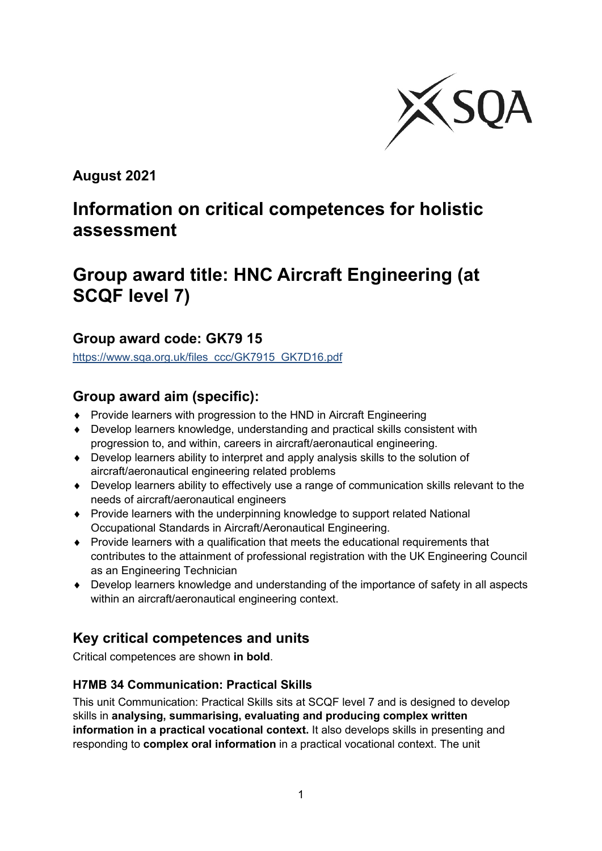

**August 2021**

# **Information on critical competences for holistic assessment**

# **Group award title: HNC Aircraft Engineering (at SCQF level 7)**

# **Group award code: GK79 15**

[https://www.sqa.org.uk/files\\_ccc/GK7915\\_GK7D16.pdf](https://www.sqa.org.uk/files_ccc/GK7915_GK7D16.pdf)

# **Group award aim (specific):**

- ♦ Provide learners with progression to the HND in Aircraft Engineering
- ♦ Develop learners knowledge, understanding and practical skills consistent with progression to, and within, careers in aircraft/aeronautical engineering.
- ♦ Develop learners ability to interpret and apply analysis skills to the solution of aircraft/aeronautical engineering related problems
- ♦ Develop learners ability to effectively use a range of communication skills relevant to the needs of aircraft/aeronautical engineers
- ♦ Provide learners with the underpinning knowledge to support related National Occupational Standards in Aircraft/Aeronautical Engineering.
- ♦ Provide learners with a qualification that meets the educational requirements that contributes to the attainment of professional registration with the UK Engineering Council as an Engineering Technician
- ♦ Develop learners knowledge and understanding of the importance of safety in all aspects within an aircraft/aeronautical engineering context.

# **Key critical competences and units**

Critical competences are shown **in bold**.

## **H7MB 34 Communication: Practical Skills**

This unit Communication: Practical Skills sits at SCQF level 7 and is designed to develop skills in **analysing, summarising, evaluating and producing complex written information in a practical vocational context.** It also develops skills in presenting and responding to **complex oral information** in a practical vocational context. The unit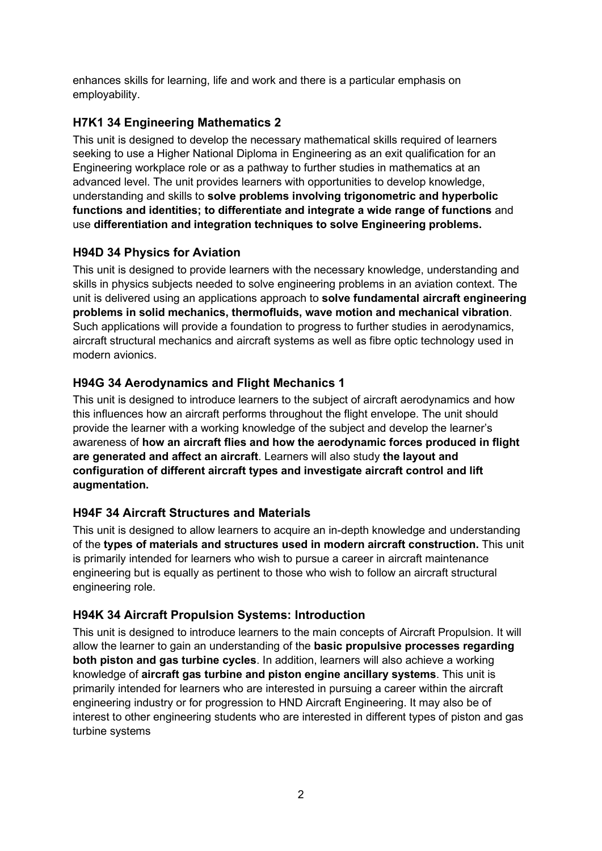enhances skills for learning, life and work and there is a particular emphasis on employability.

### **H7K1 34 Engineering Mathematics 2**

This unit is designed to develop the necessary mathematical skills required of learners seeking to use a Higher National Diploma in Engineering as an exit qualification for an Engineering workplace role or as a pathway to further studies in mathematics at an advanced level. The unit provides learners with opportunities to develop knowledge, understanding and skills to **solve problems involving trigonometric and hyperbolic functions and identities; to differentiate and integrate a wide range of functions** and use **differentiation and integration techniques to solve Engineering problems.**

## **H94D 34 Physics for Aviation**

This unit is designed to provide learners with the necessary knowledge, understanding and skills in physics subjects needed to solve engineering problems in an aviation context. The unit is delivered using an applications approach to **solve fundamental aircraft engineering problems in solid mechanics, thermofluids, wave motion and mechanical vibration**. Such applications will provide a foundation to progress to further studies in aerodynamics, aircraft structural mechanics and aircraft systems as well as fibre optic technology used in modern avionics.

## **H94G 34 Aerodynamics and Flight Mechanics 1**

This unit is designed to introduce learners to the subject of aircraft aerodynamics and how this influences how an aircraft performs throughout the flight envelope. The unit should provide the learner with a working knowledge of the subject and develop the learner's awareness of **how an aircraft flies and how the aerodynamic forces produced in flight are generated and affect an aircraft**. Learners will also study **the layout and configuration of different aircraft types and investigate aircraft control and lift augmentation.**

#### **H94F 34 Aircraft Structures and Materials**

This unit is designed to allow learners to acquire an in-depth knowledge and understanding of the **types of materials and structures used in modern aircraft construction.** This unit is primarily intended for learners who wish to pursue a career in aircraft maintenance engineering but is equally as pertinent to those who wish to follow an aircraft structural engineering role.

#### **H94K 34 Aircraft Propulsion Systems: Introduction**

This unit is designed to introduce learners to the main concepts of Aircraft Propulsion. It will allow the learner to gain an understanding of the **basic propulsive processes regarding both piston and gas turbine cycles**. In addition, learners will also achieve a working knowledge of **aircraft gas turbine and piston engine ancillary systems**. This unit is primarily intended for learners who are interested in pursuing a career within the aircraft engineering industry or for progression to HND Aircraft Engineering. It may also be of interest to other engineering students who are interested in different types of piston and gas turbine systems